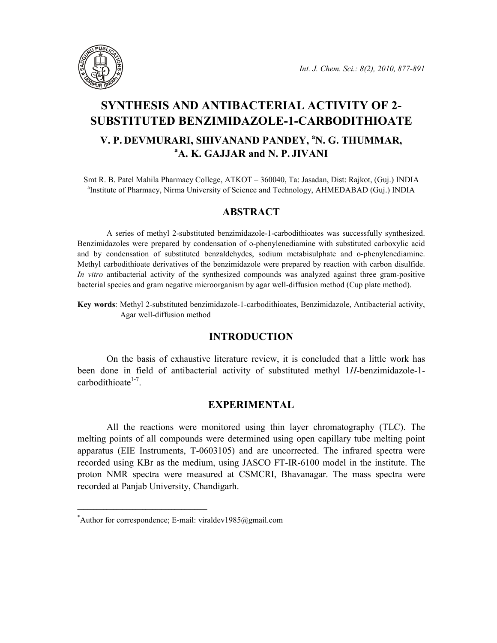

# SYNTHESIS AND ANTIBACTERIAL ACTIVITY OF 2- SUBSTITUTED BENZIMIDAZOLE-1-CARBODITHIOATE

## V. P. DEVMURARI, SHIVANAND PANDEY, <sup>a</sup>N. G. THUMMAR, <sup>a</sup>A. K. GAJJAR and N. P. JIVANI

Smt R. B. Patel Mahila Pharmacy College, ATKOT – 360040, Ta: Jasadan, Dist: Rajkot, (Guj.) INDIA <sup>a</sup>Institute of Pharmacy, Nirma University of Science and Technology, AHMEDABAD (Guj.) INDIA

## ABSTRACT

A series of methyl 2-substituted benzimidazole-1-carbodithioates was successfully synthesized. Benzimidazoles were prepared by condensation of o-phenylenediamine with substituted carboxylic acid and by condensation of substituted benzaldehydes, sodium metabisulphate and o-phenylenediamine. Methyl carbodithioate derivatives of the benzimidazole were prepared by reaction with carbon disulfide. In vitro antibacterial activity of the synthesized compounds was analyzed against three gram-positive bacterial species and gram negative microorganism by agar well-diffusion method (Cup plate method).

Key words: Methyl 2-substituted benzimidazole-1-carbodithioates, Benzimidazole, Antibacterial activity, Agar well-diffusion method

## INTRODUCTION

On the basis of exhaustive literature review, it is concluded that a little work has been done in field of antibacterial activity of substituted methyl 1H-benzimidazole-1 carbodithioate<sup>1-7</sup>.

## EXPERIMENTAL

All the reactions were monitored using thin layer chromatography (TLC). The melting points of all compounds were determined using open capillary tube melting point apparatus (EIE Instruments, T-0603105) and are uncorrected. The infrared spectra were recorded using KBr as the medium, using JASCO FT-IR-6100 model in the institute. The proton NMR spectra were measured at CSMCRI, Bhavanagar. The mass spectra were recorded at Panjab University, Chandigarh.

 $\mathcal{L}_\text{max}$  and  $\mathcal{L}_\text{max}$  and  $\mathcal{L}_\text{max}$  and  $\mathcal{L}_\text{max}$ 

<sup>\*</sup>Author for correspondence; E-mail: viraldev1985@gmail.com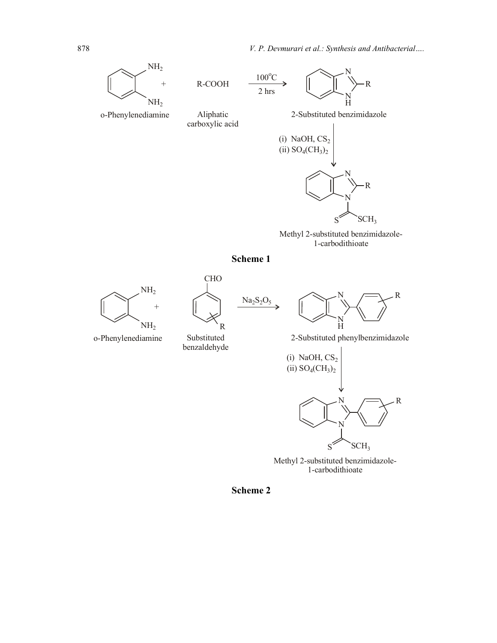878 V. P. Devmurari et al.: Synthesis and Antibacterial....



Methyl 2-substituted benzimidazole-1-carbodithioate







benzaldehyde





o-Phenylenediamine Substituted 2-Substituted phenylbenzimidazole



Methyl 2-substituted benzimidazole-1-carbodithioate

Scheme 2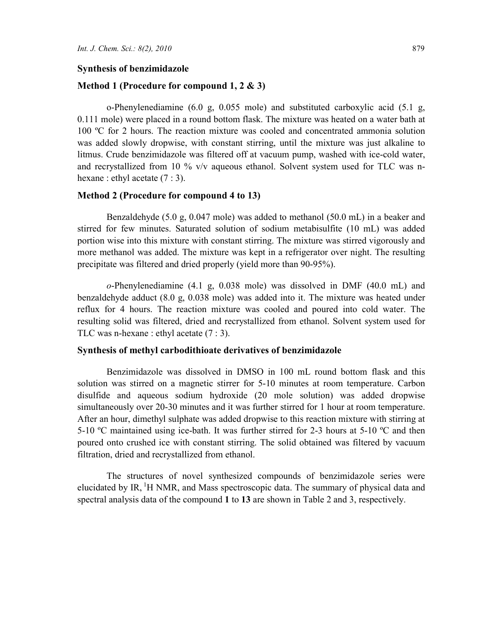#### Synthesis of benzimidazole

#### Method 1 (Procedure for compound 1, 2 & 3)

o-Phenylenediamine (6.0 g, 0.055 mole) and substituted carboxylic acid (5.1 g, 0.111 mole) were placed in a round bottom flask. The mixture was heated on a water bath at 100 ºC for 2 hours. The reaction mixture was cooled and concentrated ammonia solution was added slowly dropwise, with constant stirring, until the mixture was just alkaline to litmus. Crude benzimidazole was filtered off at vacuum pump, washed with ice-cold water, and recrystallized from 10 % v/v aqueous ethanol. Solvent system used for TLC was nhexane : ethyl acetate  $(7:3)$ .

#### Method 2 (Procedure for compound 4 to 13)

Benzaldehyde (5.0 g, 0.047 mole) was added to methanol (50.0 mL) in a beaker and stirred for few minutes. Saturated solution of sodium metabisulfite (10 mL) was added portion wise into this mixture with constant stirring. The mixture was stirred vigorously and more methanol was added. The mixture was kept in a refrigerator over night. The resulting precipitate was filtered and dried properly (yield more than 90-95%).

o-Phenylenediamine (4.1 g, 0.038 mole) was dissolved in DMF (40.0 mL) and benzaldehyde adduct (8.0 g, 0.038 mole) was added into it. The mixture was heated under reflux for 4 hours. The reaction mixture was cooled and poured into cold water. The resulting solid was filtered, dried and recrystallized from ethanol. Solvent system used for TLC was n-hexane : ethyl acetate (7 : 3).

#### Synthesis of methyl carbodithioate derivatives of benzimidazole

Benzimidazole was dissolved in DMSO in 100 mL round bottom flask and this solution was stirred on a magnetic stirrer for 5-10 minutes at room temperature. Carbon disulfide and aqueous sodium hydroxide (20 mole solution) was added dropwise simultaneously over 20-30 minutes and it was further stirred for 1 hour at room temperature. After an hour, dimethyl sulphate was added dropwise to this reaction mixture with stirring at 5-10 °C maintained using ice-bath. It was further stirred for 2-3 hours at 5-10 °C and then poured onto crushed ice with constant stirring. The solid obtained was filtered by vacuum filtration, dried and recrystallized from ethanol.

 The structures of novel synthesized compounds of benzimidazole series were elucidated by IR,  ${}^{1}H$  NMR, and Mass spectroscopic data. The summary of physical data and spectral analysis data of the compound 1 to 13 are shown in Table 2 and 3, respectively.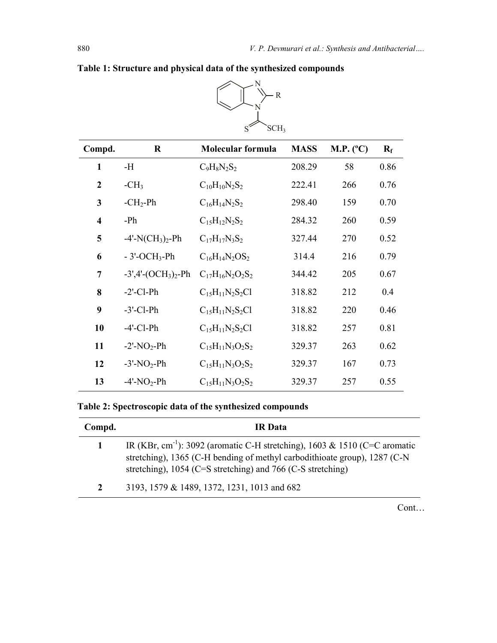|                         |                                             | $S^{\sim}$<br>SCH <sub>3</sub> |             |           |             |  |
|-------------------------|---------------------------------------------|--------------------------------|-------------|-----------|-------------|--|
| Compd.                  | $\bf R$                                     | Molecular formula              | <b>MASS</b> | M.P. (°C) | $R_{\rm f}$ |  |
| 1                       | -H                                          | $C_9H_8N_2S_2$                 | 208.29      | 58        | 0.86        |  |
| $\mathbf{2}$            | $-CH3$                                      | $C_{10}H_{10}N_2S_2$           | 222.41      | 266       | 0.76        |  |
| 3                       | $-CH2-Ph$                                   | $C_{16}H_{14}N_2S_2$           | 298.40      | 159       | 0.70        |  |
| $\overline{\mathbf{4}}$ | $-Ph$                                       | $C_{15}H_{12}N_2S_2$           | 284.32      | 260       | 0.59        |  |
| 5                       | $-4'$ -N(CH <sub>3</sub> ) <sub>2</sub> -Ph | $C_{17}H_{17}N_3S_2$           | 327.44      | 270       | 0.52        |  |
| 6                       | $-3'$ -OCH <sub>3</sub> -Ph                 | $C_{16}H_{14}N_2OS_2$          | 314.4       | 216       | 0.79        |  |
| 7                       | $-3',4'-(OCH_3)_2-Ph$                       | $C_{17}H_{16}N_2O_2S_2$        | 344.42      | 205       | 0.67        |  |
| 8                       | $-2'$ -Cl-Ph                                | $C_{15}H_{11}N_2S_2Cl$         | 318.82      | 212       | 0.4         |  |
| 9                       | $-3'$ -Cl-Ph                                | $C_{15}H_{11}N_2S_2Cl$         | 318.82      | 220       | 0.46        |  |
| 10                      | $-4'$ -Cl-Ph                                | $C_{15}H_{11}N_2S_2Cl$         | 318.82      | 257       | 0.81        |  |
| 11                      | $-2'$ -NO <sub>2</sub> -Ph                  | $C_{15}H_{11}N_3O_2S_2$        | 329.37      | 263       | 0.62        |  |
| 12                      | $-3'$ -NO <sub>2</sub> -Ph                  | $C_{15}H_{11}N_3O_2S_2$        | 329.37      | 167       | 0.73        |  |
| 13                      | $-4'$ -NO <sub>2</sub> -Ph                  | $C_{15}H_{11}N_3O_2S_2$        | 329.37      | 257       | 0.55        |  |

N

 $-R$ 

N

Table 1: Structure and physical data of the synthesized compounds

## Table 2: Spectroscopic data of the synthesized compounds

| Compd. | IR Data                                                                                                                                                                                                                              |
|--------|--------------------------------------------------------------------------------------------------------------------------------------------------------------------------------------------------------------------------------------|
|        | IR (KBr, cm <sup>-1</sup> ): 3092 (aromatic C-H stretching), 1603 & 1510 (C=C aromatic<br>stretching), 1365 (C-H bending of methyl carbodithioate group), 1287 (C-N<br>stretching), $1054$ (C=S stretching) and 766 (C-S stretching) |
| 2      | 3193, 1579 & 1489, 1372, 1231, 1013 and 682                                                                                                                                                                                          |

Cont…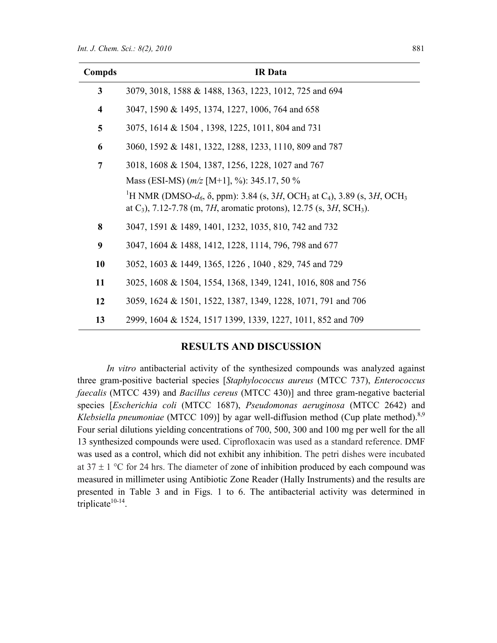| Compds                  | <b>IR</b> Data                                                                                                                                                                                                            |
|-------------------------|---------------------------------------------------------------------------------------------------------------------------------------------------------------------------------------------------------------------------|
| 3                       | 3079, 3018, 1588 & 1488, 1363, 1223, 1012, 725 and 694                                                                                                                                                                    |
| $\overline{\mathbf{4}}$ | 3047, 1590 & 1495, 1374, 1227, 1006, 764 and 658                                                                                                                                                                          |
| 5                       | 3075, 1614 & 1504, 1398, 1225, 1011, 804 and 731                                                                                                                                                                          |
| 6                       | 3060, 1592 & 1481, 1322, 1288, 1233, 1110, 809 and 787                                                                                                                                                                    |
| $\overline{7}$          | 3018, 1608 & 1504, 1387, 1256, 1228, 1027 and 767                                                                                                                                                                         |
|                         | Mass (ESI-MS) $(m/z$ [M+1], %): 345.17, 50 %                                                                                                                                                                              |
|                         | <sup>1</sup> H NMR (DMSO- $d_6$ , $\delta$ , ppm): 3.84 (s, 3H, OCH <sub>3</sub> at C <sub>4</sub> ), 3.89 (s, 3H, OCH <sub>3</sub><br>at $C_3$ ), 7.12-7.78 (m, 7H, aromatic protons), 12.75 (s, 3H, SCH <sub>3</sub> ). |
| 8                       | 3047, 1591 & 1489, 1401, 1232, 1035, 810, 742 and 732                                                                                                                                                                     |
| 9                       | 3047, 1604 & 1488, 1412, 1228, 1114, 796, 798 and 677                                                                                                                                                                     |
| 10                      | 3052, 1603 & 1449, 1365, 1226, 1040, 829, 745 and 729                                                                                                                                                                     |
| 11                      | 3025, 1608 & 1504, 1554, 1368, 1349, 1241, 1016, 808 and 756                                                                                                                                                              |
| 12                      | 3059, 1624 & 1501, 1522, 1387, 1349, 1228, 1071, 791 and 706                                                                                                                                                              |
| 13                      | 2999, 1604 & 1524, 1517 1399, 1339, 1227, 1011, 852 and 709                                                                                                                                                               |

## RESULTS AND DISCUSSION

In vitro antibacterial activity of the synthesized compounds was analyzed against three gram-positive bacterial species [Staphylococcus aureus (MTCC 737), Enterococcus faecalis (MTCC 439) and Bacillus cereus (MTCC 430)] and three gram-negative bacterial species [Escherichia coli (MTCC 1687), Pseudomonas aeruginosa (MTCC 2642) and Klebsiella pneumoniae (MTCC 109)] by agar well-diffusion method (Cup plate method).<sup>8,9</sup> Four serial dilutions yielding concentrations of 700, 500, 300 and 100 mg per well for the all 13 synthesized compounds were used. Ciprofloxacin was used as a standard reference. DMF was used as a control, which did not exhibit any inhibition. The petri dishes were incubated at  $37 \pm 1$  °C for 24 hrs. The diameter of zone of inhibition produced by each compound was measured in millimeter using Antibiotic Zone Reader (Hally Instruments) and the results are presented in Table 3 and in Figs. 1 to 6. The antibacterial activity was determined in triplicate $10-14$ .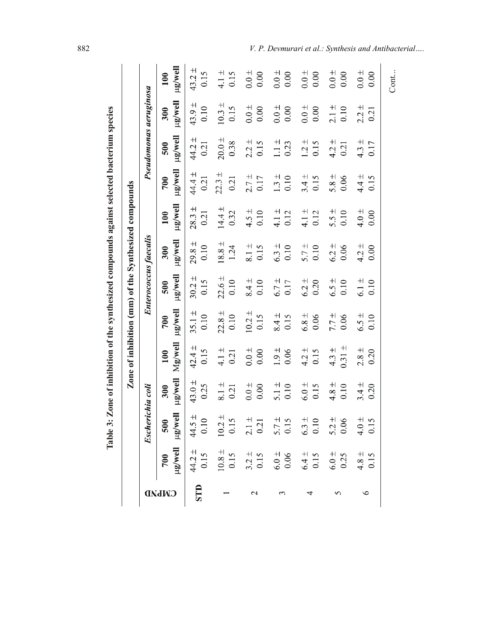|                |                |                                                                                                                                                                                                                                                                                  |                    | Zone of inhibition (mm) of the Synthesized compounds |                    |                     |                              |                    |                    |                        |                    |                    |
|----------------|----------------|----------------------------------------------------------------------------------------------------------------------------------------------------------------------------------------------------------------------------------------------------------------------------------|--------------------|------------------------------------------------------|--------------------|---------------------|------------------------------|--------------------|--------------------|------------------------|--------------------|--------------------|
|                |                | <b>Escherichia coli</b>                                                                                                                                                                                                                                                          |                    |                                                      |                    |                     | <b>Enterococcus faecalis</b> |                    |                    | Pseudomonas aeruginosa |                    |                    |
| <b>CINLIAD</b> |                |                                                                                                                                                                                                                                                                                  | llaw/ari<br>300    | $\rm Mg/well$<br>100                                 | ug/well<br>700     | $\mu$ g/well<br>500 | ug/well<br>300               | ug/well<br>100     | llew/arl<br>700    | ug/well<br>500         | ug/well<br>300     | ll9wgu<br>100      |
|                |                |                                                                                                                                                                                                                                                                                  | $43.0 \pm$<br>0.25 | $42.4 \pm$<br>0.15                                   | $35.1 \pm$<br>0.10 | $30.2 \pm$<br>0.15  | $29.8 \pm$<br>0.10           | $28.3 \pm$<br>0.21 | $44.4 \pm$<br>0.21 | $44.2 \pm$<br>0.21     | $43.9 \pm$<br>0.10 | $43.2 \pm$<br>0.15 |
|                |                | 700 500<br>$\mu$ g/well $\mu$ g/well<br>$44.2 \pm 44.5 \pm 0.10$<br>$10.8 \pm 10.2 \pm 0.15$<br>$0.15$ 0.15<br>$0.15$ 0.15<br>$3.2 \pm 2.1$<br>$5.2$<br>$0.5$ 0.25<br>$5.2$<br>$0.5$<br>$0.66$ 6.0 $\pm 5.2$<br>$0.15$<br>$0.2$<br>$0.15$<br>$0.3$<br>$0.06$<br>$0.15$<br>$0.15$ | $8.1 \pm$<br>0.21  | $4.1 \pm$<br>0.21                                    | $22.8 \pm$<br>0.10 | $22.6 \pm$<br>0.10  | $18.8 \pm$<br>1.24           | $14.4 \pm$<br>0.32 | $22.3 \pm$<br>0.21 | $20.0 \pm$<br>0.38     | $10.3 \pm$<br>0.15 | $4.1 \pm$<br>0.15  |
|                |                | 10.2 ±<br>0.15<br>0.15<br>0.15<br>5.7 ±<br>6.3 ±<br>6.0 ±<br>6.0 ±<br>6.15<br>6.15                                                                                                                                                                                               | $0.0 +$<br>0.00    | $0.0 \pm$<br>$0.00\,$                                | $10.2 \pm$<br>0.15 | $8.4 \pm$<br>0.10   | $\frac{+}{3}$<br>0.15        | $4.5 \pm$<br>0.10  | $2.7 \pm 0.17$     | $2.2 \pm$<br>0.15      | $0.0 \pm$<br>0.00  | $0.0 \pm$<br>0.00  |
|                |                |                                                                                                                                                                                                                                                                                  | $5.1 \pm 0.10$     | $1.9 \pm$<br>$0.06$                                  | $8.4 \pm$<br>0.15  | $6.7 \pm$<br>0.17   | $6.3 \pm$<br>0.10            | $4.1 \pm$<br>0.12  | $1.3 \pm 0.10$     | $\frac{+}{-}$<br>0.23  | $0.0 \pm$<br>0.00  | $0.0 +$<br>0.00    |
|                |                |                                                                                                                                                                                                                                                                                  | $6.0 \pm$<br>0.15  | $4.2 \pm$<br>0.15                                    | $6.8 \pm$<br>0.06  | $6.2 \pm$<br>0.20   | $5.7 \pm$<br>0.10            | $4.1 \pm$<br>0.12  | $3.4 \pm$<br>0.15  | $1.2 \pm$<br>0.15      | $0.0 +$<br>0.00    | $0.0 +$<br>0.00    |
|                |                |                                                                                                                                                                                                                                                                                  | $4.8 \pm$<br>0.10  | $0.31 \pm$<br>$4.3 \pm$                              | $7.7 \pm$<br>0.06  | $6.5 \pm$<br>0.10   | $6.2 \pm$<br>0.06            | $5.5 \pm$<br>0.10  | $5.8 \pm$<br>0.06  | $4.2 \pm$<br>0.21      | $2.1 \pm$<br>0.10  | $0.0 +$<br>0.00    |
| ৩              | $4.8 \pm 0.15$ |                                                                                                                                                                                                                                                                                  | $3.4 \pm$<br>0.20  | $2.8 \pm$<br>0.20                                    | $6.5 \pm$<br>0.10  | $6.1 \pm$<br>0.10   | $4.2 \pm$<br>0.00            | $4.0 \pm$<br>0.00  | $4.4 \pm$<br>0.15  | $4.3 \pm$<br>0.17      | $2.2 \pm$<br>0.21  | $0.0 \pm$<br>0.00  |
|                |                |                                                                                                                                                                                                                                                                                  |                    |                                                      |                    |                     |                              |                    |                    |                        |                    | Cont               |

Table 3: Zone of inhibition of the synthesized commoning against selected bacterium species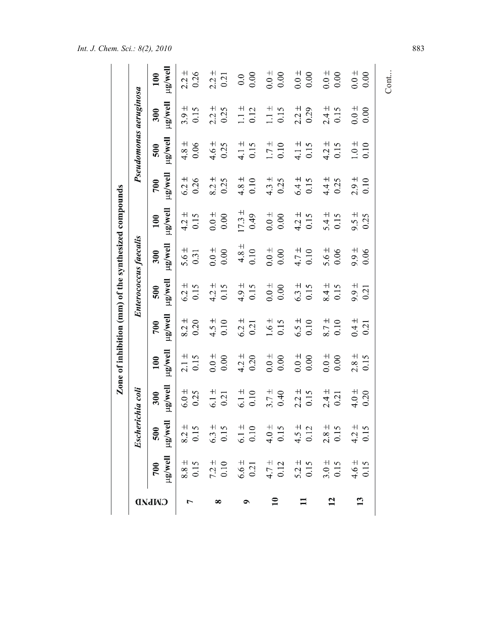|                |                     |                   |                     |                     |                     | Zone of inhibition (mm) of the synthesized compounds |                     |                     |                     |                     |                        |                     |
|----------------|---------------------|-------------------|---------------------|---------------------|---------------------|------------------------------------------------------|---------------------|---------------------|---------------------|---------------------|------------------------|---------------------|
|                |                     | Escherichia coli  |                     |                     |                     | Enterococcus faecalis                                |                     |                     |                     |                     | Pseudomonas aeruginosa |                     |
| <b>CINLIAD</b> | $\mu$ g/well<br>700 | $\frac{500}{150}$ | $\mu$ g/well<br>300 | $\mu$ g/well<br>100 | $\mu$ g well<br>700 | $\mu$ g/well<br>500                                  | $\mu$ g/well<br>300 | $\mu$ g/well<br>100 | $\mu$ g well<br>700 | $\mu$ g/well<br>500 | µg/well<br>300         | $\mu$ g/well<br>100 |
|                | $8.8 \pm$<br>0.15   | $8.2 \pm 0.15$    | $6.0 \pm$<br>0.25   | $2.1 \pm$<br>0.15   | $8.2 \pm$<br>0.20   | $6.2 \pm$<br>0.15                                    | $5.6 \pm$<br>0.31   | $4.2 \pm$<br>0.15   | $6.2 \pm$<br>0.26   | $4.8 \pm$<br>0.06   | $3.9 \pm$<br>0.15      | $2.2 \pm$<br>0.26   |
|                | $7.2 \pm 0.10$      | $6.3 \pm 0.15$    | $6.1 \pm$<br>0.21   | $0.0 +$<br>0.00     | $4.5 \pm$<br>0.10   | $4.2 \pm$<br>0.15                                    | $0.0 +$<br>0.00     | $0.0 +$<br>0.00     | $8.2 \pm$<br>0.25   | $4.6 \pm$<br>0.25   | $2.2 \pm$<br>0.25      | $2.2 +$<br>0.21     |
|                | $6.6 \pm 0.21$      | $6.1 \pm 0.10$    | $6.1 \pm$<br>0.10   | $4.2 \pm$<br>0.20   | $6.2 \pm$<br>0.21   | $4.9 \pm$<br>0.15                                    | $4.8 \pm$<br>0.10   | $17.3 \pm$<br>0.49  | $4.8 \pm$<br>0.10   | $4.1 \pm$<br>0.15   | $1.1 \pm$<br>0.12      | 0.00<br>0.0         |
| $\mathbf{10}$  | $4.7 +$<br>0.12     | $4.0 +$<br>0.15   | $3.7 \pm$<br>0.40   | $0.0 +$<br>0.00     | $1.6 \pm$<br>0.15   | $0.0 \pm$<br>0.00                                    | $0.0 +$<br>0.00     | $0.0 +$<br>0.00     | $4.3 \pm$<br>0.25   | $1.7 \pm$<br>0.10   | $1.1 \pm$<br>0.15      | $0.0 \pm$<br>0.00   |
| $\blacksquare$ | $5.2 \pm 0.15$      | $4.5 \pm 0.12$    | $2.2 \pm$<br>0.15   | $0.0 +$<br>0.00     | $6.5 \pm$<br>0.10   | $6.3 \pm$<br>0.15                                    | $4.7 \pm$<br>0.10   | $4.2 \pm$<br>0.15   | $6.4 \pm$<br>0.15   | $4.1 \pm 0.15$      | $2.2 \pm$<br>0.29      | $0.0 +$<br>0.00     |
| 12             | $3.0 \pm 0.15$      | $2.8 \pm 0.15$    | $2.4 \pm$<br>0.21   | $0.0 +$<br>0.00     | $8.7 \pm$<br>0.10   | $8.4 \pm$<br>0.15                                    | $5.6 \pm$<br>0.06   | $5.4 \pm$<br>0.15   | $4.4 \pm$<br>0.25   | $4.2 \pm$<br>0.15   | $2.4 \pm$<br>0.15      | $0.0 +$<br>0.00     |
| $\mathbf{13}$  | $4.6 \pm$<br>0.15   | $4.2 \pm 0.15$    | $4.0 \pm$<br>0.20   | $2.8 \pm$<br>0.15   | $0.4 \pm$<br>0.21   | $9.9 \pm$<br>0.21                                    | $9.9 \pm$<br>0.06   | $9.5 \pm$<br>0.25   | $2.9 \pm$<br>0.10   | $1.0 \pm$<br>0.10   | $0.0 +$<br>0.00        | $0.0 \pm$<br>0.00   |
|                |                     |                   |                     |                     |                     |                                                      |                     |                     |                     |                     |                        | Cont                |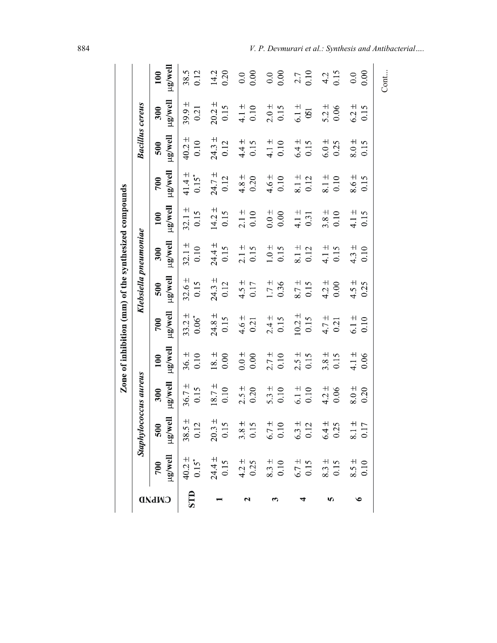|              |                                                                                                                                                                                                                                                                                                           |                       |                         |                                 |                                 | Zone of inhibition (mm) of the synthesized compounds |                      |                        |                       |                    |                             |                 |
|--------------|-----------------------------------------------------------------------------------------------------------------------------------------------------------------------------------------------------------------------------------------------------------------------------------------------------------|-----------------------|-------------------------|---------------------------------|---------------------------------|------------------------------------------------------|----------------------|------------------------|-----------------------|--------------------|-----------------------------|-----------------|
|              |                                                                                                                                                                                                                                                                                                           | Staphylococcus aureus |                         |                                 |                                 | Klebsiella pneumoniae                                |                      |                        |                       |                    | <b>Bacillus cereus</b>      |                 |
| <b>CMPND</b> |                                                                                                                                                                                                                                                                                                           |                       | llow/arl<br>300         | llew/an<br>100                  | ug/well<br>700                  | ll <sub>9</sub> well<br>500                          | $\mu$ g/well<br>300  | ll9w/gu<br>100         | ll9w/gu<br>700        | ug/well<br>500     | ll <sub>9</sub> well<br>300 | llaw/arl<br>100 |
|              | E<br>STD $\begin{bmatrix} 600 \\ 40.2 \pm 38.5 \pm 20.12 \\ 0.15 \pm 20.3 \pm 38.3 \pm 20.15 \\ 0.15 \pm 38.3 \pm 38.3 \pm 5.3 \pm 38.3 \pm 5.7 \pm 5.015 \\ 0.15 \pm 38.3 \pm 6.7 \pm 6.3 \pm 6.3 \pm 6.3 \pm 6.3 \pm 6.3 \pm 6.3 \pm 6.3 \pm 6.3 \pm 6.3 \pm 6.3 \pm 6.3 \pm 6.3 \pm 6.3 \pm 6.3 \pm 6$ |                       | $36.7 \pm$<br>0.15      | $36. \pm$<br>0.10               | 33.2 <sup>±</sup><br>$0.06^{*}$ | $32.6 \pm$<br>0.15                                   | $32.1 \pm$<br>0.10   | $32.1 \pm$<br>0.15     | $41.4 \pm$<br>$0.15*$ | $40.2 \pm$<br>0.10 | $39.9 \pm$<br>0.21          | 38.5<br>0.12    |
|              |                                                                                                                                                                                                                                                                                                           |                       | $18.7 \pm 0.10$         | $18. \pm$<br>0.00               | $24.8 \pm 0.15$                 | $24.3 \pm 0.12$                                      | $24.4 \pm$<br>0.15   | $14.2 \pm 0.15$        | $24.7 \pm$<br>0.12    | $24.3 \pm$<br>0.12 | $20.2 \pm$<br>0.15          | 14.2<br>0.20    |
|              |                                                                                                                                                                                                                                                                                                           |                       | $2.5 +$<br>0.20         | $0.0 +$<br>0.00                 | $4.6 \pm 0.21$                  | $4.5 \pm 0.17$                                       | $2.1 \pm 0.15$       | $2.1 \pm 0.10$         | $4.8 \pm 0.20$        | $4.4 \pm 0.15$     | $4.1 \pm 0.10$              | 0.0000          |
|              |                                                                                                                                                                                                                                                                                                           |                       | $5.3 +$<br>0.10         | $2.7 \pm$<br>0.10               | $2.4 \pm 0.15$                  | $1.7 +$<br>0.36                                      | $1.0 \pm$<br>0.15    | $0.0\,\pm\,$<br>0.00   | $4.6 \pm$<br>0.10     | $4.1 \pm 0.10$     | $2.0 +$<br>0.15             | 0.0000          |
|              |                                                                                                                                                                                                                                                                                                           |                       | $6.1 \pm 0.10$          | $2.5 \pm$<br>0.15               | $10.2 \pm$<br>0.15              | $6.7 +$<br>0.15                                      | $8.1\,\pm\,$<br>0.12 | $\frac{4.1 \pm}{0.31}$ | $8.1 \pm 0.12$        | $6.4 \pm$<br>0.15  | $6.1 \pm$<br>$\mathfrak{S}$ | $2.7$<br>0.10   |
|              |                                                                                                                                                                                                                                                                                                           |                       | $4.2 \pm$<br>0.06       | $3.8 \pm$<br>0.15               | $4.7 +$<br>0.21                 | $4.2 \pm$<br>0.00                                    | $4.1 \pm$<br>0.15    | $3.8 \pm 0.10$         | $8.1 \pm$<br>0.10     | $6.0 \pm$<br>0.25  | $5.2 \pm$<br>0.06           | $4.2$<br>0.15   |
|              |                                                                                                                                                                                                                                                                                                           |                       | $\frac{4}{8.0}$<br>0.20 | $\frac{+}{4}$ . 1 $\pm$<br>0.06 | $6.1 \pm$<br>0.10               | $4.5 \pm$<br>0.25                                    | $4.3 \pm$<br>0.10    | $4.1 \pm$<br>0.15      | $8.6 \pm$<br>0.15     | $8.0 \pm$<br>0.15  | $6.2 \pm$<br>0.15           | 0.00<br>0.0     |
|              |                                                                                                                                                                                                                                                                                                           |                       |                         |                                 |                                 |                                                      |                      |                        |                       |                    |                             | Cont            |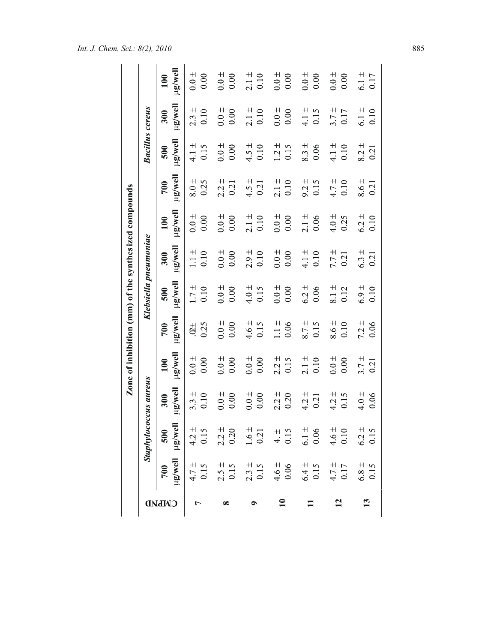|                 |                 |                                                |                       |                       |                                | Zone of inhibition (mm) of the synthesized compounds |                        |                             |                   |                              |                   |                   |
|-----------------|-----------------|------------------------------------------------|-----------------------|-----------------------|--------------------------------|------------------------------------------------------|------------------------|-----------------------------|-------------------|------------------------------|-------------------|-------------------|
|                 |                 |                                                | Staphylococcus aureus |                       |                                | Klebsiella pneumoniae                                |                        |                             |                   | <b>Bacillus cereus</b>       |                   |                   |
| <b>CINIMD</b>   | 700             | llowell llowgu<br>500                          | $\mu$ g/well<br>300   | ug/well<br>100        | ll <sub>9</sub> well<br>700    | ll <sub>3</sub> well<br>500                          | llaw/arl<br>300        | ll <sub>3</sub> well<br>100 | llew/arl<br>700   | ll <sup>a</sup> wa/ar<br>500 | llaw/ar<br>300    | llew/an<br>100    |
| $\overline{ }$  | $4.7 \pm 0.15$  | $4.2 \pm 0.15$                                 | $3.3 \pm$<br>0.10     | $0.0 +$<br>0.00       | 0.25<br>$\stackrel{+}{\infty}$ | $1.7 \pm$<br>0.10                                    | $\frac{+}{-1}$<br>0.10 | $0.0 \pm$<br>0.00           | $8.0 \pm$<br>0.25 | $4.1 +$<br>0.15              | $2.3 \pm$<br>0.10 | $0.0 +$<br>0.00   |
|                 | $2.5 +$<br>0.15 | $2.2 +$<br>0.20                                | $0.0 +$<br>0.00       | $\frac{+}{0}$<br>0.00 | $0.0 +$<br>0.00                | $0.0 +$<br>0.00                                      | $0.0 \pm$<br>0.00      | $0.0 +$<br>0.00             | $2.2 \pm$<br>0.21 | $0.0 +$<br>0.00              | $0.0 +$<br>0.00   | $0.0 +$<br>0.00   |
|                 | $2.3 \pm 0.15$  | $\begin{array}{c} 1.6 \pm \\ 0.21 \end{array}$ | $0.0 \pm$<br>0.00     | $0.0 +$<br>0.00       | $4.6 \pm 0.15$                 | $4.0 \pm$<br>0.15                                    | $2.9 \pm$<br>0.10      | $2.1 \pm 0.10$              | $4.5 \pm 0.21$    | $4.5 \pm$<br>0.10            | $2.1 \pm$<br>0.10 | $2.1 \pm 0.10$    |
| $\overline{10}$ | $4.6 \pm 0.06$  | $4.15$<br>0.15                                 | $2.2 \pm$<br>0.20     | $2.2 \pm 0.15$        | $\frac{+}{-}$<br>0.06          | $0.0 +$<br>0.00                                      | $0.0 \pm$<br>0.00      | $0.0 +$<br>0.00             | $2.1 \pm 0.10$    | $1.2 \pm$<br>0.15            | $0.0 +$<br>0.00   | $0.0 \pm$<br>0.00 |
|                 | $6.4 \pm 0.15$  | $6.1 \pm 0.06$                                 | $4.2 \pm$<br>0.21     | $2.1 \pm 0.10$        | $8.7 \pm$<br>0.15              | $6.2 \pm$<br>0.06                                    | $4.1 \pm$<br>0.10      | $2.1 \pm$<br>0.06           | $9.2 \pm 0.15$    | $8.3 \pm$<br>0.06            | $4.1 \pm$<br>0.15 | $0.0 +$<br>0.00   |
| $\overline{12}$ | $4.7 \pm 0.17$  | $4.6 \pm 0.10$                                 | $4.2 \pm$<br>0.15     | $0.0 +$<br>0.00       | $8.6 \pm$<br>0.10              | $8.1 \pm$<br>0.12                                    | $7.7 +$<br>0.21        | $4.0 \pm$<br>0.25           | $4.7 +$<br>0.10   | $4.1 \pm$<br>0.10            | $3.7 \pm$<br>0.17 | $0.0 +$<br>0.00   |
| 13              | $6.8 \pm 0.15$  | $6.2 \pm 0.15$                                 | $4.0 \pm$<br>0.06     | $3.7 \pm$<br>0.21     | $7.2 \pm$<br>0.06              | $6.9 \pm$<br>0.10                                    | $6.3 \pm$<br>0.21      | $6.2 \pm$<br>0.10           | $8.6 \pm$<br>0.21 | $8.2 \pm$<br>0.21            | $6.1 \pm$<br>0.10 | $6.1 \pm$<br>0.17 |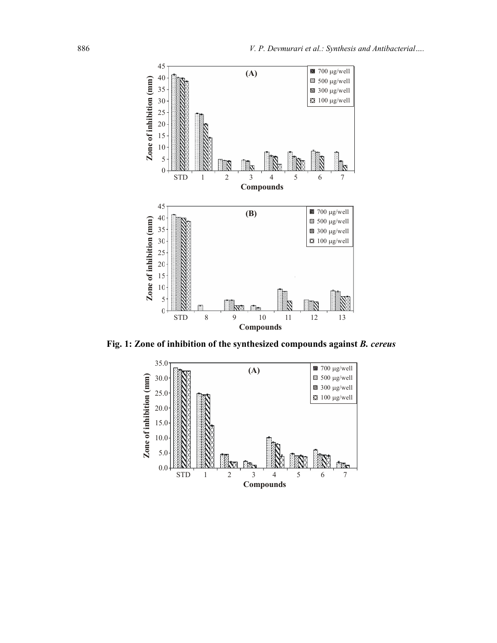

Fig. 1: Zone of inhibition of the synthesized compounds against B. cereus

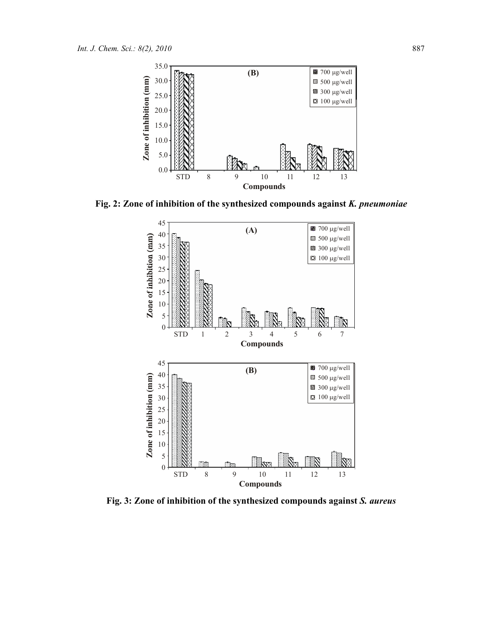

Fig. 2: Zone of inhibition of the synthesized compounds against K. pneumoniae



Fig. 3: Zone of inhibition of the synthesized compounds against S. aureus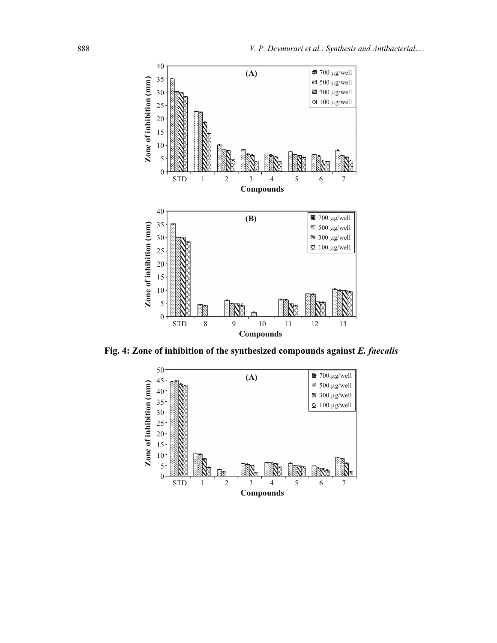

Fig. 4: Zone of inhibition of the synthesized compounds against E. faecalis

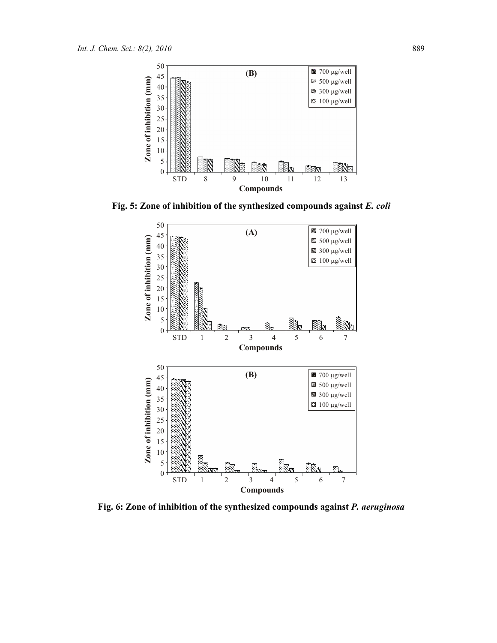

Fig. 5: Zone of inhibition of the synthesized compounds against E. coli



Fig. 6: Zone of inhibition of the synthesized compounds against P. aeruginosa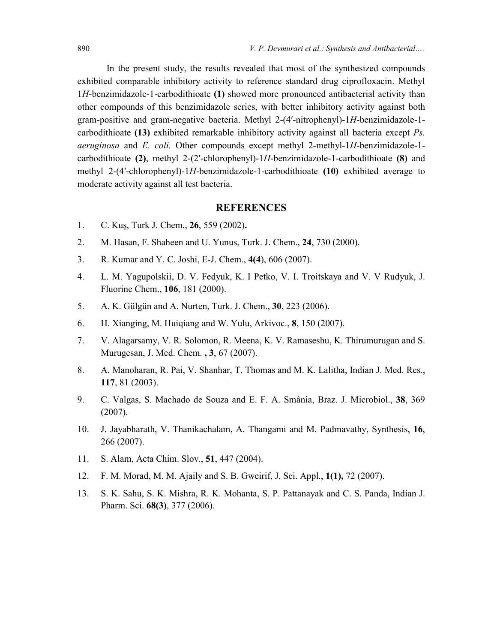In the present study, the results revealed that most of the synthesized compounds exhibited comparable inhibitory activity to reference standard drug ciprofloxacin. Methyl 1H-benzimidazole-1-carbodithioate (1) showed more pronounced antibacterial activity than other compounds of this benzimidazole series, with better inhibitory activity against both gram-positive and gram-negative bacteria. Methyl 2-(4′-nitrophenyl)-1H-benzimidazole-1 carbodithioate (13) exhibited remarkable inhibitory activity against all bacteria except Ps. aeruginosa and E. coli. Other compounds except methyl 2-methyl-1H-benzimidazole-1 carbodithioate (2), methyl 2-(2′-chlorophenyl)-1H-benzimidazole-1-carbodithioate (8) and methyl 2-(4′-chlorophenyl)-1H-benzimidazole-1-carbodithioate (10) exhibited average to moderate activity against all test bacteria.

#### REFERENCES

- 1. C. Kuş, Turk J. Chem., 26, 559 (2002).
- 2. M. Hasan, F. Shaheen and U. Yunus, Turk. J. Chem., 24, 730 (2000).
- 3. R. Kumar and Y. C. Joshi, E-J. Chem., 4(4), 606 (2007).
- 4. L. M. Yagupolskii, D. V. Fedyuk, K. I Petko, V. I. Troitskaya and V. V Rudyuk, J. Fluorine Chem., 106, 181 (2000).
- 5. A. K. Gülgün and A. Nurten, Turk. J. Chem., 30, 223 (2006).
- 6. H. Xianging, M. Huiqiang and W. Yulu, Arkivoc., 8, 150 (2007).
- 7. V. Alagarsamy, V. R. Solomon, R. Meena, K. V. Ramaseshu, K. Thirumurugan and S. Murugesan, J. Med. Chem. , 3, 67 (2007).
- 8. A. Manoharan, R. Pai, V. Shanhar, T. Thomas and M. K. Lalitha, Indian J. Med. Res., 117, 81 (2003).
- 9. C. Valgas, S. Machado de Souza and E. F. A. Smânia, Braz. J. Microbiol., 38, 369 (2007).
- 10. J. Jayabharath, V. Thanikachalam, A. Thangami and M. Padmavathy, Synthesis, 16, 266 (2007).
- 11. S. Alam, Acta Chim. Slov., 51, 447 (2004).
- 12. F. M. Morad, M. M. Ajaily and S. B. Gweirif, J. Sci. Appl., 1(1), 72 (2007).
- 13. S. K. Sahu, S. K. Mishra, R. K. Mohanta, S. P. Pattanayak and C. S. Panda, Indian J. Pharm. Sci. 68(3), 377 (2006).